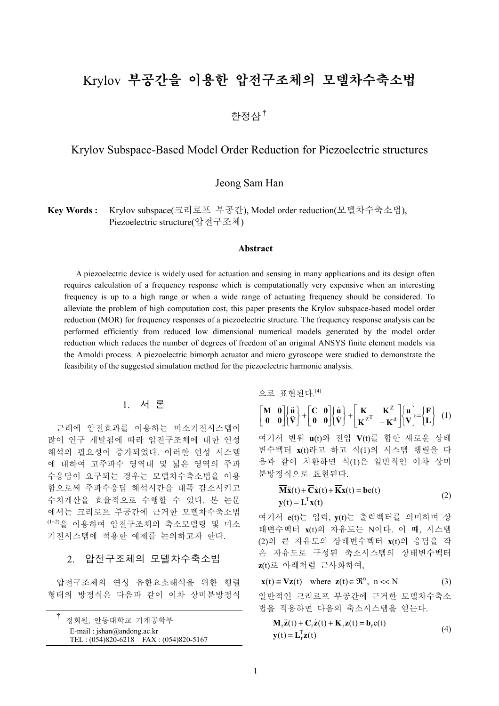# Krylov 부공간을 이용한 압전구조체의 모델차수축소법

한정삼<sup>†</sup>

# Krylov Subspace-Based Model Order Reduction for Piezoelectric structures

Jeong Sam Han

**Key Words :** Krylov subspace(크리로프 부공간), Model order reduction(모델차수축소법), Piezoelectric structure(압전구조체)

#### **Abstract**

A piezoelectric device is widely used for actuation and sensing in many applications and its design often requires calculation of a frequency response which is computationally very expensive when an interesting frequency is up to a high range or when a wide range of actuating frequency should be considered. To alleviate the problem of high computation cost, this paper presents the Krylov subspace-based model order reduction (MOR) for frequency responses of a piezoelectric structure. The frequency response analysis can be performed efficiently from reduced low dimensional numerical models generated by the model order reduction which reduces the number of degrees of freedom of an original ANSYS finite element models via the Arnoldi process. A piezoelectric bimorph actuator and micro gyroscope were studied to demonstrate the feasibility of the suggested simulation method for the piezoelectric harmonic analysis.

### 1. 서 론

근래에 압전효과를 이용하는 미소기전시스템이 많이 연구 개발됨에 따라 압전구조체에 대한 연성 해석의 필요성이 증가되었다. 이러한 연성 시스템 에 대하여 고주파수 영역대 및 넓은 영역의 주파 수응답이 요구되는 경우는 모델차수축소법을 이용 함으로써 주파수응답 해석시간을 대폭 감소시키고 수치계산을 효율적으로 수행할 수 있다. 본 논문 에서는 크리로프 부공간에 근거한 모델차수축소법 (1~2)을 이용하여 압전구조체의 축소모델링 및 미소 기전시스템에 적용한 예제를 논의하고자 한다.

# 2. 압전구조체의 모델차수축소법

압전구조체의 연성 유한요소해석을 위한 행렬 형태의 방정식은 다음과 같이 이차 상미분방정식

|                                      | 정회원, 안동대학교 기계공학부 |                                       |
|--------------------------------------|------------------|---------------------------------------|
| E-mail: $jshan(\omega)$ andong.ac.kr |                  |                                       |
|                                      |                  | TEL: (054)820-6218 FAX: (054)820-5167 |

으로 표현된다. (4)

$$
\begin{bmatrix} \mathbf{M} & \mathbf{0} \\ \mathbf{0} & \mathbf{0} \end{bmatrix} \begin{bmatrix} \ddot{\mathbf{u}} \\ \ddot{\mathbf{V}} \end{bmatrix} + \begin{bmatrix} \mathbf{C} & \mathbf{0} \\ \mathbf{0} & \mathbf{0} \end{bmatrix} \begin{bmatrix} \dot{\mathbf{u}} \\ \dot{\mathbf{V}} \end{bmatrix} + \begin{bmatrix} \mathbf{K} & \mathbf{K}^{Z} \\ \mathbf{K}^{Z^{T}} & -\mathbf{K}^{d} \end{bmatrix} \begin{bmatrix} \mathbf{u} \\ \mathbf{V} \end{bmatrix} = \begin{bmatrix} \mathbf{F} \\ \mathbf{L} \end{bmatrix} (1)
$$

여기서 변위 **u**(t)와 전압 **V**(t)를 합한 새로운 상태 변수벡터 **x**(t)라고 하고 식(1)의 시스템 행렬을 다 음과 같이 치환하면 식(1)은 일반적인 이차 상미 분방정식으로 표현된다.

$$
\mathbf{M}\ddot{\mathbf{x}}(t) + \mathbf{C}\dot{\mathbf{x}}(t) + \mathbf{K}\mathbf{x}(t) = \mathbf{b}\mathbf{e}(t)
$$
  
\n
$$
\mathbf{y}(t) = \mathbf{L}^{\mathrm{T}}\mathbf{x}(t)
$$
 (2)

여기서 e(t)는 입력, **y**(t)는 출력벡터를 의미하며 상 태변수벡터 **x**(t)의 자유도는 N이다. 이 때, 시스템 (2)의 큰 자유도의 상태변수벡터 **x**(t)의 응답을 작 은 자유도로 구성된 축소시스템의 상태변수벡터 **z**(t)로 아래처럼 근사화하여,

 $\mathbf{x}(t) \cong \mathbf{V}\mathbf{z}(t)$  where  $\mathbf{z}(t) \in \mathbb{R}^n$ ,  $n \ll N$  (3) 일반적인 크리로프 부공간에 근거한 모델차수축소 법을 적용하면 다음의 축소시스템을 얻는다.

$$
\mathbf{M}_{\mathbf{r}}\ddot{\mathbf{z}}(t) + \mathbf{C}_{\mathbf{r}}\dot{\mathbf{z}}(t) + \mathbf{K}_{\mathbf{r}}\mathbf{z}(t) = \mathbf{b}_{\mathbf{r}}\mathbf{e}(t)
$$
  
\n
$$
\mathbf{y}(t) = \mathbf{L}_{\mathbf{r}}^{T}\mathbf{z}(t)
$$
\n(4)